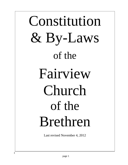

1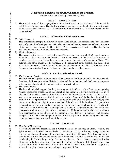| $\overline{c}$<br>3<br>$\overline{4}$ |    | <b>Constitution &amp; Bylaws of Fairview Church of the Brethren</b><br>adopted at Council Meeting November 4, 2012                                                                                                                                                                                    |
|---------------------------------------|----|-------------------------------------------------------------------------------------------------------------------------------------------------------------------------------------------------------------------------------------------------------------------------------------------------------|
| 5                                     |    | <b>Name &amp; Location</b><br>Article I                                                                                                                                                                                                                                                               |
| 6<br>$\tau$<br>8<br>9                 |    | 1) The official name of this congregation is "Fairview Church of the Brethren." It is located in<br>Udell Township, Appanoose County, Iowa where it was incorporated under the laws of the state<br>of Iowa in or about the year 1853. Hereafter it will be referred to as "the local church" or "the |
|                                       |    | congregation."                                                                                                                                                                                                                                                                                        |
| 10                                    |    |                                                                                                                                                                                                                                                                                                       |
| 11<br>12                              | 1) | <b>Affirmation of Faith and Purpose</b><br>Article II                                                                                                                                                                                                                                                 |
| 13                                    |    | <b>Belief Statement</b>                                                                                                                                                                                                                                                                               |
| 14                                    |    | This congregation accepts the Holy Bible as the Word of God, and maintains the New Testament                                                                                                                                                                                                          |
| 15                                    |    | as its only rule of faith and practice. We believe in God as Creator, Redeemer with His Son Jesus                                                                                                                                                                                                     |
|                                       |    | Christ, and Sustainer through the Holy Spirit. We have received and trust Jesus Christ as Savior<br>and Lord and we strive to follow His commandments.                                                                                                                                                |
| 16<br>17                              |    | <b>Mission Statement</b>                                                                                                                                                                                                                                                                              |
| 18                                    | 2) |                                                                                                                                                                                                                                                                                                       |
|                                       |    | The mission of the church set forth in the Great Commission (Matthew 28:19-20) may be defined                                                                                                                                                                                                         |
| 19                                    |    | as having an inner and an outer direction. The inner mission of the church is to nurture its                                                                                                                                                                                                          |
| 20                                    |    | members, seeking ever to bring them more and more to the stature of maturity in Christ. The                                                                                                                                                                                                           |
| 21                                    |    | outer mission of the church is to be related, as God's instrument, to the problems and the needs of                                                                                                                                                                                                   |
| 22                                    |    | all souls in the world. These two major functions of the church are achieved to the extent that                                                                                                                                                                                                       |
| 23                                    |    | they are under-girded with stewardship of time, talent, and material resources.                                                                                                                                                                                                                       |
| 24<br>25                              |    | Article III Relation to the Whole Church                                                                                                                                                                                                                                                              |
| 26                                    | 1) | The Universal Church                                                                                                                                                                                                                                                                                  |
| 27                                    |    | The local church is part of a larger whole which comprises the Body of Christ. The local church,                                                                                                                                                                                                      |
| 28                                    |    | therefore, shall recognize other Christian bodies and denominations, and shall seek to cooperate                                                                                                                                                                                                      |
| 29                                    |    | with, and give direction to, the united efforts of the greater church.                                                                                                                                                                                                                                |
| 30                                    | 2) | The Denomination                                                                                                                                                                                                                                                                                      |
| 31                                    |    | The local church shall support faithfully the program of the Church of the Brethren, recognizing                                                                                                                                                                                                      |
| 32                                    |    | Annual Conference enactments of the Church of the Brethren as having governing force in its                                                                                                                                                                                                           |
| 33                                    |    | life, and shall remain a member of the Church of the Brethren or its successor. The local church                                                                                                                                                                                                      |
| 34                                    |    | shall send delegates to those official conferences of the Church of the Brethren in which it is                                                                                                                                                                                                       |
| 35                                    |    | entitled to have representation. In case of strife or division or if any part of the congregation                                                                                                                                                                                                     |
| 36                                    |    | refuses to abide by its obligations as a member of the Church of the Brethren, that part of the                                                                                                                                                                                                       |
| 37                                    |    | congregation, whether a majority or minority of its membership, which continues in unity with                                                                                                                                                                                                         |
| 38                                    |    | the Church of the Brethren, shall be recognized as the lawful congregation and shall continue in                                                                                                                                                                                                      |
| 39                                    |    | possession of all of the property of the congregation. If the congregation disbands, or departs                                                                                                                                                                                                       |
| 40                                    |    | from membership in the Church of the Brethren, or so decreases in numbers and financial                                                                                                                                                                                                               |
| 41                                    |    | strength as to render the congregation unable to fulfill its purpose, the remaining members shall                                                                                                                                                                                                     |
| 42                                    |    | be polled to determine the disposition of the property.                                                                                                                                                                                                                                               |
| 43                                    |    |                                                                                                                                                                                                                                                                                                       |
| 44                                    |    | Article IV Membership                                                                                                                                                                                                                                                                                 |
| 45                                    | 1) | <b>Meaning of Membership</b>                                                                                                                                                                                                                                                                          |
| 46                                    |    | According to the New Testament, life in Christ means life in the body of Christ. "For by one                                                                                                                                                                                                          |
| 47                                    |    | Spirit we were all baptized into one body" (I Corinthians 12:13), so that we, "though many, are                                                                                                                                                                                                       |
| 48                                    |    | one body in Christ, and individually members of one another" (Romans 12:5). Membership in a                                                                                                                                                                                                           |
| 49                                    |    | local fellowship of believers, the congregation, is the way in which we affirm and live out our                                                                                                                                                                                                       |
| 50                                    |    | membership in Christ's larger body, the church universal. In our interrelatedness with other                                                                                                                                                                                                          |
| 51                                    |    | Christians in the local church, we experience the fullness of the gifts of the Spirit, we discover                                                                                                                                                                                                    |

 Christians in the local church, we experience the fullness of the gifts of the Spirit, we discover ways to be faithful to our covenant with God and each other, and we are able to support one 52 ways to be faithful to our covenant with God and each other, a another in carrying out our common calling as the people of God.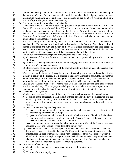- 54 Church membership is not to be entered into lightly or unadvisedly because it is a membership in<br>55 the body of Christ. Both the congregation and the member shall diligently strive to make the body of Christ. Both the congregation and the member shall diligently strive to make membership meaningful and significant. The occasion of the member's reception shall be a service of spiritual dignity, beauty, and meaning.
- 2) *Entering Into and Renewing Church Membership*
- Membership in the local church is open to all persons who, by their own act of faith, say "yes" to God's offer to new life in Christ (John 6:37) and accept the vocation of the covenant community 61 as thought and practiced by the Church of the Brethren. One of the responsibilities of the congregation is to reach out to persons irrespective of race, national origin, or status in life, to congregation is to reach out to persons irrespective of race, national origin, or status in life, to share with them the good news of God's grace in Jesus Christ, and to invite them to enter into the life of Christ's body. (Matthew 28:19-20)
- When responding to this invitation, the church shall take steps to prepare new members for membership. This preparation should include instruction in the Word of God; the meaning of 67 church membership; the faith and history of the wider Christian community; the faith, practices, history, and distinctive emphasis of the Church of the Brethren. The member shall also become history, and distinctive emphasis of the Church of the Brethren. The member shall also become familiar with the life and expectations of the congregation they will be entering.
- 70 The church confirms their acceptance as members in one of three ways:<br>71 A) Confession of faith and baptism by triune immersion as practice
- A) Confession of faith and baptism by triune immersion as practiced by the Church of the Brethren:
- B) A letter transferring membership from another congregation of the Church of the Brethren or of another Christian denomination;
- C) Reaffirmation of faith and renewal of the commitment to membership made at an earlier time 76 in another congregation.<br>77 Whatever the particular mod

77 Whatever the particular mode of reception, the act of receiving new members should be a festive<br>78 moment in the life of the church. It is a time for old and new members to affirm their relationship 78 moment in the life of the church. It is a time for old and new members to affirm their relationship<br>79 with one another a time to celebrate the iovs and responsibilities of living in covenant in Christ's with one another, a time to celebrate the joys and responsibilities of living in covenant in Christ's 80 body, and a time to lift up the lifelong process of growth to which baptism should lead.<br>81 Only as we regularly renew our covenant with God and with one another does that

 Only as we regularly renew our covenant with God and with one another does that covenant function in a vital way. The congregation shall provide its members with annual opportunities to examine their faith and calling and to renew or reaffirm their relationship with the church.

## 3) *Membership Classification*

- Members shall be classified in one of three ways for statistical purposes of the denomination.
- A) Members of the congregation shall consist of those persons who have been received into the church by baptism, letter, or reaffirmation of faith, and who choose to continue their membership. All active members may vote, serve on commissions, and hold office in the church.
- 90 B) Associate Membership may be granted to<br>91 1) persons of temporary residence in the
- 91 1) persons of temporary residence in the community, such as students, who continue to hold membership in their home church: or to
- 92 membership in their home church; or to<br>93 2) persons who have moved to a new local 2) persons who have moved to a new location in which there is no Church of the Brethren, 94 and who wish to continue in relationship with Fairview Church at the same time they<br>95 become members of another Christian community. 95 become members of another Christian community.<br>96 Associate members may not be on the ballot, but may

Associate members may not be on the ballot, but may vote in Council business if they have 97 attended at least one worship service during the current year.<br>98 C) Separated Members consist of those persons who were receive

- 98 C) Separated Members consist of those persons who were received into the church as members,<br>99 hut who have not participated in the church's life or carried out the commitments expected of but who have not participated in the church's life or carried out the commitments expected of members for a period of three consecutive years. Regardless of the reason for separation the church shall continue to explore ways to restore the broken relationship. Separated members shall not be eligible to participate and vote in the Council Meeting. Separated members are not included in the membership count for reporting purposes.
- 4) *Termination of Membership*
- Membership in the church may be terminated in one of the following ways:
- A) Death.
- B) Transfer of membership by letter.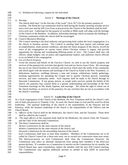C) Withdrawal following a request by the individual. 

# Article V **Meetings of the Church**

### 1) *Worship*

- The church shall meet "on the first day of the week" (Acts 20:7) for the primary purpose of worship. The Bread & Cup communion shall be held during the Sunday morning worship service twice each year and the full Love Feast as practiced by the Church of the Brethren shall be held twice each year. Gatherings for the purpose of worship or Bible study will align with the heritage of the Church of the Brethren. In addition, fellowship meetings which accentuate the building of Christian community within the church shall be encouraged.
- 2) *Council (Business) Meetings*

The Council meeting is the final authority and governing body within the local congregation; it is the church in business session. The Council in meeting shall hear reports and evaluate past 121 accomplishments, study present conditions, and plan the future program of the church, record the voice of the congregation on current issues where Christian witness is urgent, and provide voice of the congregation on current issues where Christian witness is urgent, and provide opportunity for sharing and coordinating differing points of view. The Council shall also call 124 officers, adopt budgets, rule on policy and organizational matters, and authorize church officials to act on behalf of the congregation. to act on behalf of the congregation.

3) *Use of Church Property*

 Given the mission and beliefs of the Fairview Church, we seek to use the church property and services of the pastor(s) for activities that glorify God and our Savior Jesus Christ. We encourage 129 the use of our church facilities for activities and services which meet the needs of the community<br>130 and which agree with the tenants and teachings of the Church as found in the New Testament, i.e. and which agree with the tenants and teachings of the Church as found in the New Testament, i.e. 131 dedications, baptisms, weddings between a man and woman, celebrations, family gatherings,<br>132 teaching opportunities for spreading the Gospel and to nurture Christian growth, counseling teaching opportunities for spreading the Gospel and to nurture Christian growth, counseling services, and other community needs. Such requests shall be made to the church through its Stewards Commission. If any group, person, or couple seeks services outside the beliefs of the church, the pastor(s) may counsel them to a greater understanding and knowledge of the New Testament teachings on life, death, baptism, and marriage. We retain the right to refuse use of 137 the church facilities, or services of the pastor(s), for any activities that are not in accordance with 138 the church's teachings.

## Article VI **Leadership of the Church**

 As a local congregation of the Church of the Brethren, the New Testament shall be the church's only rule of faith and practice (2 Timothy 3:16). As such, the church looks to God and His word for divine leadership. The spiritual leadership of the church is the responsibility of the Deacons and the 144 Pastor(s), while the business leadership of the church is the responsibility of the Officers and the 145 Church Board. Church Board.

- 1) *Officers of the Church* shall be the Moderator, the church Clerk, and the Treasurer. These three shall be called by the Council.
- 2) The *legal officers* of the corporate body shall be the Moderator, the church Clerk, the Treasurer, and the Chair of the Stewards Commission.
- 3) The three Commissions shall be:
- *Nurture Commission* for the inner mission of the church,
- *Witness Commission* for the outer mission of the church, and
- *Stewards Commission* for the stewardship function of the church.
- 154 Each Commission shall have at least three members. Members of the Commissions are to be called by Church Council for a three-vear term, not to exceed two consecutive three-vear terms. called by Church Council for a three-year term, not to exceed two consecutive three-year terms. The third-year-person on each Commission shall chair the Commission. However, the Commission may select an alternate chairperson from among their members if the third-year person declines. If a member on a Commission is inactive on the Commission for six months, the Church Board may, upon consultation, replace the member until the next Fall Council meeting.
- The Commissions may appoint additional persons as needed to help fulfill its prescribed
- responsibilities.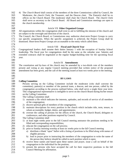| 162<br>163<br>164<br>165<br>166<br>167 | The Church Board shall consist of the members of the three Commissions called by Council, the<br>4)<br>Moderator, the church Clerk, the Treasurer, and the Deacon chair. The Pastor(s) shall be ex<br>officio on the Church Board. The moderator shall chair the Church Board. The church Clerk<br>shall serve as secretary to the Church Board. All Board and Commission meetings are open to<br>the church membership. |
|----------------------------------------|--------------------------------------------------------------------------------------------------------------------------------------------------------------------------------------------------------------------------------------------------------------------------------------------------------------------------------------------------------------------------------------------------------------------------|
|                                        |                                                                                                                                                                                                                                                                                                                                                                                                                          |
| 168                                    | <b>Article VII Other Organized Groups</b>                                                                                                                                                                                                                                                                                                                                                                                |
| 169                                    | All organizations within the congregation shall exist to aid in fulfilling the mission of the church and                                                                                                                                                                                                                                                                                                                 |
| 170                                    | are subject to the oversight and direction of the church.                                                                                                                                                                                                                                                                                                                                                                |
| 171<br>172                             | The Council, the Church Board, or Commissions may authorize short-term Project Groups to carry                                                                                                                                                                                                                                                                                                                           |
| 173                                    | out specific assignments. When the specific assignment is achieved, the Project Group shall be                                                                                                                                                                                                                                                                                                                           |
| 174                                    | dismissed. Short-term Project Groups are accountable to the entity which called them.                                                                                                                                                                                                                                                                                                                                    |
| 175                                    | Article VIII<br><b>Fiscal and Church Year</b>                                                                                                                                                                                                                                                                                                                                                                            |
| 176                                    |                                                                                                                                                                                                                                                                                                                                                                                                                          |
| 177                                    | Congregational leaders shall assume their duties January 1 with the exception of Sunday School                                                                                                                                                                                                                                                                                                                           |
| 178                                    | leadership. The fiscal year for congregations shall be the same as the calendar year. Salaries and                                                                                                                                                                                                                                                                                                                       |
| 179                                    | extended contracts shall be negotiated at the regular budget-building time for the upcoming fiscal                                                                                                                                                                                                                                                                                                                       |
| 180                                    | year.                                                                                                                                                                                                                                                                                                                                                                                                                    |
| 181                                    | <b>Article IX Amendments</b>                                                                                                                                                                                                                                                                                                                                                                                             |
| 182                                    | The constitution and by-laws of the church may be amended by a two-thirds vote of the members                                                                                                                                                                                                                                                                                                                            |
| 183                                    | present and voting at any regular Council meeting provided that written notice of the proposed                                                                                                                                                                                                                                                                                                                           |
| 184                                    | amendment has been given, and the call of the meeting issued at least two weeks prior to the meeting.                                                                                                                                                                                                                                                                                                                    |
| 185                                    |                                                                                                                                                                                                                                                                                                                                                                                                                          |
| 186                                    |                                                                                                                                                                                                                                                                                                                                                                                                                          |
| 187                                    | <b>BY-LAWS</b>                                                                                                                                                                                                                                                                                                                                                                                                           |
| 188                                    | <b>Calling Committee</b>                                                                                                                                                                                                                                                                                                                                                                                                 |
| 189                                    | Persons serving on the Calling Committee include the moderator (who shall convene the                                                                                                                                                                                                                                                                                                                                    |
| 190                                    | committee), pastor(s) or member of the pastoral team, a deacon, and one person, called by the                                                                                                                                                                                                                                                                                                                            |
| 191                                    | congregation according to the process outlined below, who shall serve a single three year term.                                                                                                                                                                                                                                                                                                                          |
| 192                                    | This congregational representative is ineligible to serve on the church Board during his/her tenure                                                                                                                                                                                                                                                                                                                      |
| 193                                    | on the Calling Committee.                                                                                                                                                                                                                                                                                                                                                                                                |
| 194                                    | The Calling Committee shall                                                                                                                                                                                                                                                                                                                                                                                              |
| 195                                    | 1) maintain a file which indicates the interests, aptitudes, and records of service of all members                                                                                                                                                                                                                                                                                                                       |
| 196                                    | of the congregation;                                                                                                                                                                                                                                                                                                                                                                                                     |
| 197                                    | 2) discern spiritual gifts of members of the congregation;                                                                                                                                                                                                                                                                                                                                                               |
| 198                                    | maintain descriptions for every position in the church which includes title, term, tenure, to<br>3)                                                                                                                                                                                                                                                                                                                      |
| 199                                    | whom accountable, budget, duties, and appointments;                                                                                                                                                                                                                                                                                                                                                                      |
| 200                                    | oversee the calling of persons for the offices of the church, the Church Board, delegates to<br>4)                                                                                                                                                                                                                                                                                                                       |
| 201                                    | conferences, and other positions required by Council.                                                                                                                                                                                                                                                                                                                                                                    |
| 202                                    | The Calling Committee shall                                                                                                                                                                                                                                                                                                                                                                                              |
| 203                                    | at least eight weeks prior to the fall Council meeting announce the positions needing to be<br>1)                                                                                                                                                                                                                                                                                                                        |
| 204                                    | filled and corresponding responsibilities;                                                                                                                                                                                                                                                                                                                                                                               |
| 205                                    | 2) educate the congregation on the call process;                                                                                                                                                                                                                                                                                                                                                                         |
| 206                                    | 3) prior to Sunday morning worship at least six weeks prior to the fall Council meeting                                                                                                                                                                                                                                                                                                                                  |
| 207                                    | distribute a blank "open" ballot with a listing of positions to be filled along with names of<br>a)                                                                                                                                                                                                                                                                                                                      |
| 208                                    | eligible persons;                                                                                                                                                                                                                                                                                                                                                                                                        |
| 209                                    | lead in prayer prior to instructing the members of the congregation to write the name of<br>b)                                                                                                                                                                                                                                                                                                                           |
| 210                                    | the person they believe should be called to each position which is open;                                                                                                                                                                                                                                                                                                                                                 |
| 211                                    | receive these names and based upon these names and prayer, issue a call on behalf of the<br>4)                                                                                                                                                                                                                                                                                                                           |
| 212                                    | congregation to the individual for the position;                                                                                                                                                                                                                                                                                                                                                                         |
| 213                                    | present the persons who have accepted the call for their respective positions to the fall<br>5)                                                                                                                                                                                                                                                                                                                          |
| 214<br>215                             | Council Meeting for affirmation.                                                                                                                                                                                                                                                                                                                                                                                         |
|                                        |                                                                                                                                                                                                                                                                                                                                                                                                                          |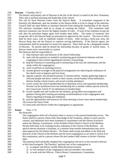- **Deacons** I Timothy 3:8-13
- The historic and primary role of Deacons in the life of the church is rooted in the New Testament. Their role is spiritual nurturing and leadership of the church.

 The call for more Deacons comes from the Deacon Body. A committee composed of the Pastor(s), the Moderator, and one member of the Deacon Body is to be in charge of the selection. Council shall use open ballots to nominate Deacons from among the membership of the church. 222 The selection committee shall be in charge of counting the ballots. This committee shall<br>223 interview nominees who receive the highest number of votes. If none of the nominees accept the interview nominees who receive the highest number of votes. If none of the nominees accept the 224 call, then the procedure begins again with another open ballot. The names of nominees who accept the call to the Deacon Body are presented for approval by the Council. The term of office accept the call to the Deacon Body are presented for approval by the Council. The term of office 226 shall be three years, with an indefinite number of terms. After serving a three-year term, the 227 Deacon Body may ask the Deacon to continue serving indefinitely. If the Deacon agrees, the Deacon Body may ask the Deacon to continue serving indefinitely. If the Deacon agrees, the reinstatement shall be presented to Council for approval. There shall not be a designated number 229 of Deacons. No person shall be denied the deaconship because of gender or marital status. A deacon cannot serve concurrently as a pastor. deacon cannot serve concurrently as a pastor.

- The Deacons shall be responsible to:
- 232 1) help maintain unity and harmony of the church fellowship;
- 233 2012 20 20 meet with the pastor(s) as needed in maintaining good ministerial relations with the congregation and counsel regarding the ministry of preaching; 3) help the Pastor(s) in counseling and in ministering to the sick, the unfortunate, and the 236 needy within the congregation; 237 4) assist or perform an anointing service; 238 5) assume general oversight of the physical arrangements for observing the ordinances of 239 the church such as baptism and love feast; 6) appoint a greeter who should be present 15 minutes before Sunday gatherings begin to welcome people and direct visitors to their classes, record Sunday school attendance, dismiss Sunday school classes, and record worship attendance;
- 7) review yearly the church membership list to determine active and separated membership. Persons can be transferred from one membership list to another without special action by 245 the Council (see Article IV for definitions of membership);
- 8) recruit capable men and women for the ministry, giving them encouragement and guidance during their training and making recommendations to the congregation and district regarding licensing and ordination;
- 9) provide opportunities and resources for those desiring to know more about membership;
- 250 10) oversee the Stress Fund;
- 251 11) send cards and flowers within the congregation as appropriate.
- $\frac{252}{253}$ Pastor Titus 1:7-9

### *The Pastorate*

- The congregation shall call a Pastor(s) when a vacancy in the pastoral leadership occurs. The Pastor shall be a person whose faith, knowledge of the Scriptures, ability to teach, preach, counsel, and administer have been examined in consultation with the District Executive and/or the Ministry Commission of the Northern Plains District Church of the Brethren. He/she shall hold, or be working toward, ordination in the Church of the Brethren. (In special interim situations a licentiate, or a minister from another denomination may serve upon approval by the District Board.) The Pastor shall accept and adhere to the faith and practices of the Church of the Brethren and the local congregation as set forth in Article II of this constitution, and be a person whose life and conduct shall witness to his/her Christian faith. The pastor(s) shall spiritually shepherd the congregation and serve as the executive director
- of the church program. The Pastor(s)' spiritual care of the congregation is:
- 267 1) to prepare and deliver weekly biblically-based sermons;
- 2) to visit members of the congregation and non-members who attend;
- 3) to work with the Officers, Church Board, Commissions, Committees;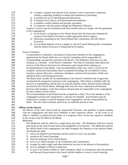| 270        | 4) to inspire, organize and educate God's people to serve in personal evangelism,                                                                                             |
|------------|-------------------------------------------------------------------------------------------------------------------------------------------------------------------------------|
| 271        | visiting, counseling, leading in worship and sometimes in preaching;                                                                                                          |
| 272        | to promote the use of denominational publications;<br>5)                                                                                                                      |
| 273        | to interpret local, district, and denominational ministries;<br>6)                                                                                                            |
| 274        | to publish a weekly bulletin and periodic newsletter;<br>7)                                                                                                                   |
| 275        | to cooperate with area pastors though the Ministerial Alliances.<br>8)                                                                                                        |
| 276        | A pastor's service may be terminated with three months notice (or longer with the agreement                                                                                   |
| 277        | of the congregation)                                                                                                                                                          |
| 278        | 1) by the Pastor's resignation to the Church Board after the Pastor has obtained the                                                                                          |
| 279        | counsel of the District Executive or other appropriate district agency;                                                                                                       |
| 280        | 2) following counseling by the Church Board after consultation with the District                                                                                              |
| 281        | Executive;                                                                                                                                                                    |
| 282        | 3) by two-thirds majority vote at a regular or special Council Meeting after consultation                                                                                     |
| 283        | with the District Executive (Voting shall be by ballot).                                                                                                                      |
| 284        |                                                                                                                                                                               |
| 285        | <b>Search Committee</b>                                                                                                                                                       |
| 286        | A representative committee, consisting of at least three members of the congregation,                                                                                         |
| 287        | appointed by the Board, shall serve as a Search Committee and be responsible for                                                                                              |
| 288        | recommending a prospective pastor(s) to the Board. The Moderator shall serve on, and                                                                                          |
| 289        | continue as, a member of the Search Committee. The Search Committee shall utilize the                                                                                         |
| 290        | services of the District Executive for information and counsel before making any                                                                                              |
| 291        | recommendations to the Board. Such recommendation shall carry with it a record of the                                                                                         |
| 292        | complete contractual relationship which is proposed including, but not limited to salary,                                                                                     |
| 293        | vacation, expense allowance, conference attendance, pension fund payments, health care,                                                                                       |
| 294        | sabbatical leave and housing provisions.                                                                                                                                      |
| 295        | The Board shall consider the recommendation of the Search Committee and, if approved,                                                                                         |
| 296        | recommend the prospective pastor(s) to the congregation. When there is multiple staff, the                                                                                    |
| 297        | division of responsibility and the lines of authority shall be clearly defined and periodically                                                                               |
| 298        | reviewed by the Church Board. Although there must be close cooperation and harmony                                                                                            |
| 299        | between staff members, in the final analysis all personnel are responsible to the congregation                                                                                |
| 300        | for their conduct of their offices.                                                                                                                                           |
| 301        |                                                                                                                                                                               |
| 302        | The recommendation of the Board must be accepted by at least 75% of the members of the<br>congregation present and voting before a call may be extended. Such business may be |
| 303        | transacted at a regular or special meeting of the congregation, and the voting shall be by                                                                                    |
| 304        |                                                                                                                                                                               |
| 305        | ballot. The call, when extended, shall be for an indefinite period of time.                                                                                                   |
|            |                                                                                                                                                                               |
| 306<br>307 | <b>Officers of the Church</b>                                                                                                                                                 |
| 308        | All officers of the local church shall be consecrated Christians, and members in good standing                                                                                |
| 309        | with the congregation and shall serve faithfully in their respective offices. In the event of an                                                                              |
| 310        | officer's inability to perform his/her duties on a temporary basis, he/she may appoint a substitute                                                                           |
|            | or the vacancy may be filled by the Board.<br>Moderator                                                                                                                       |
| 311<br>312 |                                                                                                                                                                               |
|            | The Moderator shall be called for a single three-year term. The Moderator shall have served                                                                                   |
| 313        | previously on the church board and be knowledgeable of its function. The Moderator shall be                                                                                   |
| 314        | the official head of the congregation, but shall recognize the Pastor(s) as the spiritual leader.                                                                             |
| 315        | The Moderator shall:                                                                                                                                                          |
| 316        | seek to be helpful to the Pastor(s) and the church in every way possible;<br>1)                                                                                               |
| 317        | preside at all Council meetings;<br>2)                                                                                                                                        |
| 318        | chair the meetings of the Church Board;<br>3)                                                                                                                                 |
| 319        | serve as ex officio member of all Committees and Commissions;<br>4)                                                                                                           |
| 320        | arrange for pulpit supply and other ministerial services in the absence of the pastor(s);<br>5)                                                                               |
| 321        | serve as delegate to District Conference;<br>6)                                                                                                                               |
| 322        | in case of in-climate weather or other emergency shall, in consultation with the pastor(s)<br>7)                                                                              |
| 323        | and Steward living closest to the church, decide whether to cancel a church meeting.                                                                                          |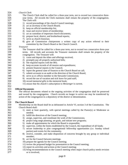| 324 | Church Clerk                                                                                                |
|-----|-------------------------------------------------------------------------------------------------------------|
| 325 | The Church Clerk shall be called for a three-year term, not to exceed two consecutive three-                |
| 326 | year terms. All records the Clerk maintains shall remain the property of the congregation.                  |
| 327 | The Clerk will:                                                                                             |
| 328 | 1) record proceedings of the church Council meetings;                                                       |
| 329 | 2) act as secretary to the Church Board;                                                                    |
| 330 |                                                                                                             |
|     | 3) keep an official membership list;                                                                        |
| 331 | 4) issue and receive letters of membership;                                                                 |
| 332 | act as custodian of important church documents;<br>5)                                                       |
| 333 | prepare local, district, and brotherhood reports;<br>6)                                                     |
| 334 | 7) serve as church historian;                                                                               |
| 335 | 8) give all Commission chairpersons a written copy of any action referred to their                          |
| 336 | committee by the Church Board or the Church Council.                                                        |
| 337 | Treasurer                                                                                                   |
| 338 | The Treasurer shall be called for a three-year term, not to exceed two consecutive three-year               |
| 339 | terms. All records and accounts the Treasurer maintains shall remain the property of the                    |
| 340 | congregation. The Treasurer will:                                                                           |
| 341 | 1) count and deposit the tithes and offerings received;                                                     |
| 342 | promptly pay all properly authorized bills;<br>2)                                                           |
| 343 | 3) file required reports with the IRS;                                                                      |
| 344 | 4) keep accurate records of all monies and expenditures;                                                    |
| 345 | 5) present financial reports to the Council;                                                                |
| 346 | 6) report the general state of finances to the Church Board on call;                                        |
| 347 | 7) submit accounts to an audit at the direction of the Church Board;                                        |
| 348 | 8) serve as ex officio member to the Stewards Commission;                                                   |
| 349 | 9) record the use of vacation and sick leave for paid staff;                                                |
| 350 | 10) record memorial gifts in the memorial book;                                                             |
| 351 | 11) ensure that the church's subscription to <i>Messenger</i> is current.                                   |
| 352 |                                                                                                             |
| 353 | <b>Official Documents</b>                                                                                   |
| 354 | The official documents related to the ongoing activities of the congregation shall be preserved             |
| 355 | and owned by the congregation. Church records no longer in active use may be transferred by                 |
| 356 | action of the congregation to a depository of the district or denomination.                                 |
| 357 |                                                                                                             |
| 358 | <b>The Church Board</b>                                                                                     |
| 359 | Membership on the Board shall be as delineated in Article VI, section 3 of the Constitution. The            |
| 360 | Church Board shall:                                                                                         |
| 361 | meet at least quarterly, with special meetings called by the Pastor(s) or Moderator as<br>1)                |
| 362 | needed;                                                                                                     |
| 363 | fulfill the directives of the Council meeting;<br>2)                                                        |
| 364 | assign, supervise, and coordinate the work of the Commissions;<br>3)                                        |
| 365 | project long range planning, set goals, and initiate new programs;<br>4)                                    |
| 366 | make all appointments for which the Board is responsible;<br>5)                                             |
| 367 | supervise, within the limits established by the Council, the expenditure of all funds;<br>6)                |
| 368 | secure leadership to plan congregational fellowship opportunities (i.e. Sunday school<br>7)                 |
| 369 | parties) and events for the community.                                                                      |
| 370 | receive, consider, and make disposition of concerns brought by any group or individual<br>8)                |
| 371 | member;                                                                                                     |
| 372 | 9) act for the Council between meetings.                                                                    |
| 373 | 10) prepare the agenda for the Council meeting;                                                             |
| 374 | 11) review the proposed budget for presentation to the Council meeting;                                     |
| 375 | 12) report its activities and actions at the Council meeting;                                               |
| 376 |                                                                                                             |
| 377 | 13) bring recommendations to the Council meeting when major church policy needs revision<br>or is involved; |
|     |                                                                                                             |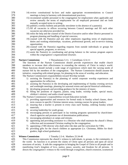| 378 | 14) review constitutional by-laws and make appropriate recommendations to Council                     |
|-----|-------------------------------------------------------------------------------------------------------|
| 379 | meetings to keep in harmony with denominational practices;                                            |
| 380 | 15) recommend suitable personnel to the congregation for employment when applicable and               |
| 381 | review annually the terms of employment for all employed personnel and set forth                      |
| 382 | mutually accepted terms in writing;                                                                   |
| 383 | 16) publish a weekly bulletin and periodic newsletter in the absence of a pastor(s);                  |
| 384 | 17) fill all vacancies in offices occurring between Council meetings and fill such other              |
| 385 | vacancies not otherwise provided for;                                                                 |
| 386 | 18) enlist the help and the counsel of the District Executive and/or other District personnel in      |
| 387 | program planning and handling of special concerns;                                                    |
| 388 | 19) counsel with the Pastor(s) and any other employees regarding terms of employment,                 |
| 389 | duties and working relationships, vacations, professional growth, and in-service training             |
| 390 | opportunities;                                                                                        |
| 391 | 20) counsel with the Pastor(s) regarding requests from outside individuals or groups for              |
| 392 | special appeals, programs, or services;                                                               |
| 393 | 21) assist the Pastor(s) in coordinating and giving balance to the various program aspects            |
| 394 | within the congregation's organizational structure.                                                   |
| 395 |                                                                                                       |
| 396 | <b>Nurture Commission</b><br>1 Thessalonians 5:11; 1 Corinthians 12:4-11                              |
| 397 | The functions of the Nurture Commission should provide experiences that enable church                 |
| 398 | members to increase their effectiveness in extending the ministry of Christ in today's world.         |
| 399 | These functions should include a wide range of experiences which meet the varying needs of            |
| 400 | nurture felt by the members of the congregation. The Nurture Commission should assume the             |
| 401 | initiative, counseling with related groups, for planning in the areas of worship, and education.      |
| 402 | The Nurture Commission's responsibilities toward Worship include:                                     |
| 403 | 1) assisting the Pastor(s) in the planning of varied corporate worship experiences and                |
| 404 | opportunities for reflection;                                                                         |
| 405 | assisting the Pastor(s) in the developing and implementing of Sunday evening services<br>2)           |
| 406 | and weeknight meetings, planning for seasonal events and special historical celebration;              |
| 407 | developing proposals and providing guidance for the ministry of music;<br>3)                          |
| 408 | filling the positions of organist, pianist, song leader, worship leader, special music,<br>4)         |
| 409 | children's ministry and audio-visual operator.                                                        |
| 410 | The Nurture Commission's responsibilities toward Education include:                                   |
| 411 | 1) providing opportunities and resources for formal study in Sunday school classes, short-            |
| 412 | term courses in specific Christian interest areas, training courses for group leaders;                |
| 413 | 2) insuring that a teacher is present in every class each Sunday, ordering Sunday school              |
| 414 | materials;                                                                                            |
| 415 | securing leadership for youth group;<br>3)                                                            |
| 416 | encouraging persons to participate in lay training programs sponsored by church/inter-<br>4)          |
| 417 | church agencies and promote use of denomination publications;                                         |
| 418 | encouraging attendance at camps and retreats;<br>5)                                                   |
| 419 | appointing and providing assistance to a librarian who shall maintain the church's library<br>6)      |
| 420 | collection and recommend Christian reading for the congregation;                                      |
| 421 | appointing a VBS director who shall select the date and the curriculum for VBS;<br>7)                 |
| 422 | 8) providing gifts for the church children as appropriate (i.e. Christmas, Bibles for third-          |
| 423 | graders, high school graduation).                                                                     |
| 424 |                                                                                                       |
| 425 | <b>Witness Commission</b><br>1 Timothy 2:3-4; Matthew 25:34-40                                        |
| 426 | This Commission represents the church's witness to individuals, to groups, to the community, to       |
| 427 | the world. Its function is to present the claims of Christ upon all persons and upon all social       |
| 428 | structures of society. It aids the congregation in bringing the Gospel of Christ to all people and in |
| 429 | manifesting God's kingdom of love, justice, peace, security, and freedom for all persons. It          |

directs the congregation's witness to the world through evangelism, church extension, ecumenical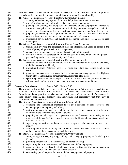| 431        |              | relations, missions, social action, ministry to the needy, and daily vocations. As such, it provides                                 |
|------------|--------------|--------------------------------------------------------------------------------------------------------------------------------------|
| 432        |              | channels for the congregation to extend its ministry to those outside its fellowship.                                                |
| 433        |              | The Witness Commission's responsibilities toward Evangelism include:                                                                 |
| 434        |              | 1) working with other congregations for mutual helpfulness and shared ministries;                                                    |
| 435        | 2)           | providing a brochure which introduces the church to the community;                                                                   |
| 436        | 3)           | planning and carrying out, along with the members of the congregation, appropriate                                                   |
| 437        |              | forms of evangelism in the community including personal evangelism, visitation                                                       |
| 438        |              | evangelism, fellowship evangelism, educational evangelism, preaching evangelism, etc.;                                               |
| 439        |              | 4) preparing, encouraging, and supporting members in speaking up for Christian values and                                            |
| 440        |              | concerns in occupation, neighborhood, community and civic groups;                                                                    |
| 441        |              | 5) publicizing current activities and events of the church including seasonal ads in area                                            |
| 442        |              | newspapers.                                                                                                                          |
| 443        |              | The Witness Commission's responsibilities toward Social Education include:                                                           |
| 444        | $\mathbf{D}$ | training and involving the congregation in social education and action on issues in the                                              |
| 445        |              | areas of peace, religious freedom, and temperance;                                                                                   |
| 446        | 2)           | counseling all young persons regarding alternatives to military service;                                                             |
| 447        | 3)           | actively involve the congregation in the ministry of reconciliation and interpersonal                                                |
| 448        |              | peacemaking in the church, community, and family.                                                                                    |
| 449        |              | The Witness Commission's responsibilities toward Social Service include:                                                             |
| 450        |              | 1) assuming responsibility for the welfare work of the congregation in behalf of the needy                                           |
| 451        |              | globally, nationally, and locally;                                                                                                   |
| 452        | 2)           | promoting Brethren Volunteer Service to youth and adults and recruit members for                                                     |
| 453        |              | service;                                                                                                                             |
| 454        | 3)           | planning volunteer service projects in the community and congregation (i.e. highway                                                  |
| 455        |              | trash pickup), and recruiting for summer service projects elsewhere;                                                                 |
| 456        | 4)           | sponsoring overseas people-to-people projects such as student exchanges, resettlement of                                             |
| 457        |              | refugees, and sending members to overseas seminars, work camps, and tours.                                                           |
|            |              |                                                                                                                                      |
|            |              |                                                                                                                                      |
| 458        |              |                                                                                                                                      |
| 459        |              | <b>Stewards Commission</b><br>1 Peter 4:8-10; Malachi 3:10                                                                           |
| 460        |              | The work of the Stewards Commission is related to Nurture and to Witness; it is the enabling and                                     |
| 461        |              | equipping for the mission of the church. It is never mere maintenance.<br>The Stewards                                               |
| 462        |              | Commission should plan for the wise use and development of the congregation's resources in                                           |
| 463        |              | time, ability, finances, and property, both individually and corporately, that they may be                                           |
| 464        |              | dedicated to the purposes of God.                                                                                                    |
| 465        |              | The Stewards Commission's responsibilities toward Finances include:                                                                  |
| 466        |              | 1) educating and encouraging members to be good stewards of their resources and                                                      |
| 467        |              | encouraging Christian giving and tithing;                                                                                            |
| 468        |              | 2) reviewing annually the assets and liabilities of the church and interpreting the financial                                        |
| 469        |              | condition of the church and the trends in giving;                                                                                    |
| 470        | 3)           | preparing an annual budget, in cooperation with the Treasurer, for carrying out the                                                  |
| 471        |              | ministries of the congregation (considering salaries, building and commission needs, and                                             |
| 472        |              | missional outreach);                                                                                                                 |
| 473        | 4)           | supervising the work of the Treasurer in the receipts and disbursements of the church                                                |
| 474        |              | money;                                                                                                                               |
| 475        | 5)           | allocating and defining authority with respect to the establishment of all bank accounts                                             |
| 476        |              | and the signing of checks and other legal documents.                                                                                 |
| 477        |              | The Stewards Commission's responsibilities toward Property include:                                                                  |
| 478        | 1)           | acting as legal trustees, acquiring, holding, and conveying property as decided by the                                               |
| 479        |              | Council;                                                                                                                             |
| 480        | 2)           | providing for adequate insurance coverage of church property;                                                                        |
| 481        | 3)           | supervising the care, maintenance, and development of church property;                                                               |
| 482        | 4)           | recommending to the Board, which shall bring to Council, the major repairs or                                                        |
| 483<br>484 |              | remodeling which should be done to church property;<br>5) considering special requests for the use of church equipment and property; |